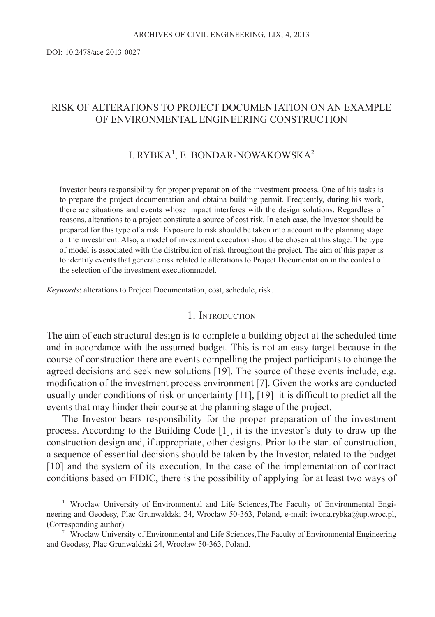DOI: 10.2478/ace-2013-0027

## RISK OF ALTERATIONS TO PROJECT DOCUMENTATION ON AN EXAMPLE OF ENVIRONMENTAL ENGINEERING CONSTRUCTION

## I. RYBKA<sup>1</sup>, E. BONDAR-NOWAKOWSKA<sup>2</sup>

Investor bears responsibility for proper preparation of the investment process. One of his tasks is to prepare the project documentation and obtaina building permit. Frequently, during his work, there are situations and events whose impact interferes with the design solutions. Regardless of reasons, alterations to a project constitute a source of cost risk. In each case, the Investor should be prepared for this type of a risk. Exposure to risk should be taken into account in the planning stage of the investment. Also, a model of investment execution should be chosen at this stage. The type of model is associated with the distribution of risk throughout the project. The aim of this paper is to identify events that generate risk related to alterations to Project Documentation in the context of the selection of the investment executionmodel.

*Keywords*: alterations to Project Documentation, cost, schedule, risk.

#### 1. INTRODUCTION

The aim of each structural design is to complete a building object at the scheduled time and in accordance with the assumed budget. This is not an easy target because in the course of construction there are events compelling the project participants to change the agreed decisions and seek new solutions [19]. The source of these events include, e.g. modification of the investment process environment [7]. Given the works are conducted usually under conditions of risk or uncertainty  $[11]$ ,  $[19]$  it is difficult to predict all the events that may hinder their course at the planning stage of the project.

The Investor bears responsibility for the proper preparation of the investment process. According to the Building Code [1], it is the investor's duty to draw up the construction design and, if appropriate, other designs. Prior to the start of construction, a sequence of essential decisions should be taken by the Investor, related to the budget [10] and the system of its execution. In the case of the implementation of contract conditions based on FIDIC, there is the possibility of applying for at least two ways of

<sup>&</sup>lt;sup>1</sup> Wroclaw University of Environmental and Life Sciences, The Faculty of Environmental Engineering and Geodesy, Plac Grunwaldzki 24, Wrocław 50-363, Poland, e-mail: iwona.rybka@up.wroc.pl, (Corresponding author).

<sup>&</sup>lt;sup>2</sup> Wroclaw University of Environmental and Life Sciences, The Faculty of Environmental Engineering and Geodesy, Plac Grunwaldzki 24, Wrocław 50-363, Poland.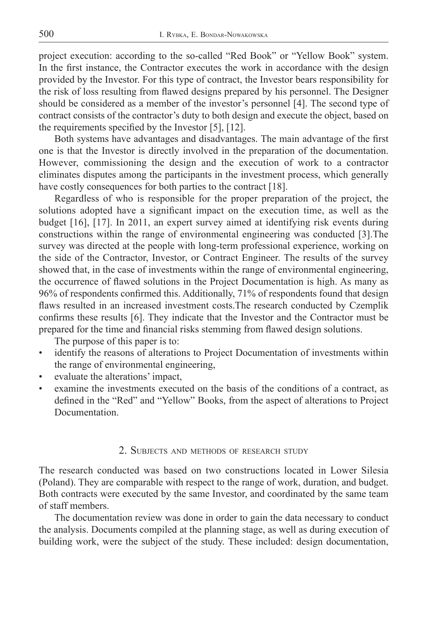project execution: according to the so-called "Red Book" or "Yellow Book" system. In the first instance, the Contractor executes the work in accordance with the design provided by the Investor. For this type of contract, the Investor bears responsibility for the risk of loss resulting from flawed designs prepared by his personnel. The Designer should be considered as a member of the investor's personnel [4]. The second type of contract consists of the contractor's duty to both design and execute the object, based on the requirements specified by the Investor  $[5]$ ,  $[12]$ .

Both systems have advantages and disadvantages. The main advantage of the first one is that the Investor is directly involved in the preparation of the documentation. However, commissioning the design and the execution of work to a contractor eliminates disputes among the participants in the investment process, which generally have costly consequences for both parties to the contract [18].

Regardless of who is responsible for the proper preparation of the project, the solutions adopted have a significant impact on the execution time, as well as the budget [16], [17]. In 2011, an expert survey aimed at identifying risk events during constructions within the range of environmental engineering was conducted [3].The survey was directed at the people with long-term professional experience, working on the side of the Contractor, Investor, or Contract Engineer. The results of the survey showed that, in the case of investments within the range of environmental engineering, the occurrence of flawed solutions in the Project Documentation is high. As many as 96% of respondents confirmed this. Additionally, 71% of respondents found that design flaws resulted in an increased investment costs. The research conducted by Czemplik confirms these results [6]. They indicate that the Investor and the Contractor must be prepared for the time and financial risks stemming from flawed design solutions.

The purpose of this paper is to:

- identify the reasons of alterations to Project Documentation of investments within the range of environmental engineering,
- evaluate the alterations' impact,
- examine the investments executed on the basis of the conditions of a contract, as defined in the "Red" and "Yellow" Books, from the aspect of alterations to Project Documentation.

#### 2. SUBJECTS AND METHODS OF RESEARCH STUDY

The research conducted was based on two constructions located in Lower Silesia (Poland). They are comparable with respect to the range of work, duration, and budget. Both contracts were executed by the same Investor, and coordinated by the same team of staff members.

The documentation review was done in order to gain the data necessary to conduct the analysis. Documents compiled at the planning stage, as well as during execution of building work, were the subject of the study. These included: design documentation,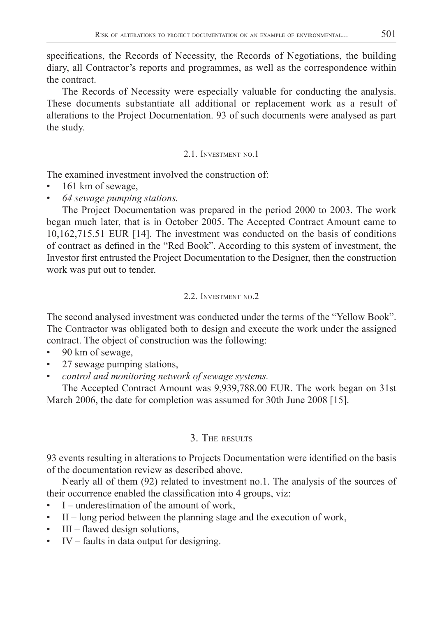specifications, the Records of Necessity, the Records of Negotiations, the building diary, all Contractor's reports and programmes, as well as the correspondence within the contract.

The Records of Necessity were especially valuable for conducting the analysis. These documents substantiate all additional or replacement work as a result of alterations to the Project Documentation. 93 of such documents were analysed as part the study.

## 2.1. INVESTMENT NO.1

The examined investment involved the construction of:

- 161 km of sewage,
- *64 sewage pumping stations.*

The Project Documentation was prepared in the period 2000 to 2003. The work began much later, that is in October 2005. The Accepted Contract Amount came to 10,162,715.51 EUR [14]. The investment was conducted on the basis of conditions of contract as defined in the "Red Book". According to this system of investment, the Investor first entrusted the Project Documentation to the Designer, then the construction work was put out to tender.

## 2.2. INVESTMENT NO.2

The second analysed investment was conducted under the terms of the "Yellow Book". The Contractor was obligated both to design and execute the work under the assigned contract. The object of construction was the following:

- 90 km of sewage,
- 27 sewage pumping stations,
- *control and monitoring network of sewage systems.*

The Accepted Contract Amount was 9,939,788.00 EUR. The work began on 31st March 2006, the date for completion was assumed for 30th June 2008 [15].

# 3. THE RESULTS

93 events resulting in alterations to Projects Documentation were identified on the basis of the documentation review as described above.

Nearly all of them (92) related to investment no.1. The analysis of the sources of their occurrence enabled the classification into 4 groups, viz:

- I underestimation of the amount of work,
- $II$  long period between the planning stage and the execution of work,
- $III$  flawed design solutions,
- IV faults in data output for designing.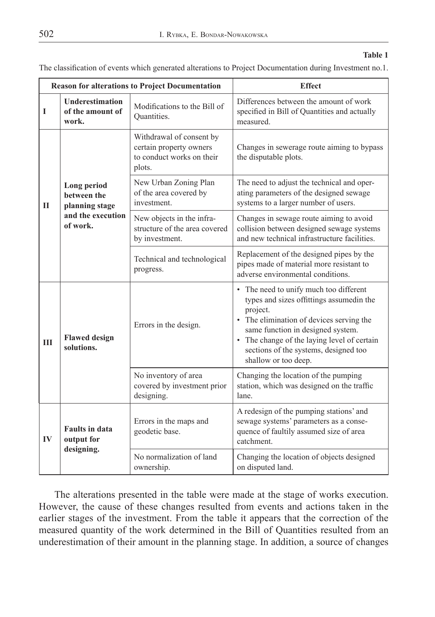#### **Table 1**

The classification of events which generated alterations to Project Documentation during Investment no.1.

|              |                                                                               | <b>Reason for alterations to Project Documentation</b>                                     | <b>Effect</b>                                                                                                                                                                                                                                                                                 |  |  |  |
|--------------|-------------------------------------------------------------------------------|--------------------------------------------------------------------------------------------|-----------------------------------------------------------------------------------------------------------------------------------------------------------------------------------------------------------------------------------------------------------------------------------------------|--|--|--|
| I            | <b>Underestimation</b><br>of the amount of<br>work.                           | Modifications to the Bill of<br>Quantities.                                                | Differences between the amount of work<br>specified in Bill of Quantities and actually<br>measured.                                                                                                                                                                                           |  |  |  |
|              |                                                                               | Withdrawal of consent by<br>certain property owners<br>to conduct works on their<br>plots. | Changes in sewerage route aiming to bypass<br>the disputable plots.                                                                                                                                                                                                                           |  |  |  |
| $\mathbf{I}$ | Long period<br>between the<br>planning stage<br>and the execution<br>of work. | New Urban Zoning Plan<br>of the area covered by<br>investment.                             | The need to adjust the technical and oper-<br>ating parameters of the designed sewage<br>systems to a larger number of users.                                                                                                                                                                 |  |  |  |
|              |                                                                               | New objects in the infra-<br>structure of the area covered<br>by investment.               | Changes in sewage route aiming to avoid<br>collision between designed sewage systems<br>and new technical infrastructure facilities.                                                                                                                                                          |  |  |  |
|              |                                                                               | Technical and technological<br>progress.                                                   | Replacement of the designed pipes by the<br>pipes made of material more resistant to<br>adverse environmental conditions.                                                                                                                                                                     |  |  |  |
| Ш            | <b>Flawed design</b><br>solutions.                                            | Errors in the design.                                                                      | • The need to unify much too different<br>types and sizes offittings assumedin the<br>project.<br>The elimination of devices serving the<br>same function in designed system.<br>• The change of the laying level of certain<br>sections of the systems, designed too<br>shallow or too deep. |  |  |  |
|              |                                                                               | No inventory of area<br>covered by investment prior<br>designing.                          | Changing the location of the pumping<br>station, which was designed on the traffic<br>lane.                                                                                                                                                                                                   |  |  |  |
| $\bf{IV}$    | <b>Faults in data</b><br>output for                                           | Errors in the maps and<br>geodetic base.                                                   | A redesign of the pumping stations' and<br>sewage systems' parameters as a conse-<br>quence of faultily assumed size of area<br>catchment.                                                                                                                                                    |  |  |  |
|              | designing.                                                                    | No normalization of land<br>ownership.                                                     | Changing the location of objects designed<br>on disputed land.                                                                                                                                                                                                                                |  |  |  |

The alterations presented in the table were made at the stage of works execution. However, the cause of these changes resulted from events and actions taken in the earlier stages of the investment. From the table it appears that the correction of the measured quantity of the work determined in the Bill of Quantities resulted from an underestimation of their amount in the planning stage. In addition, a source of changes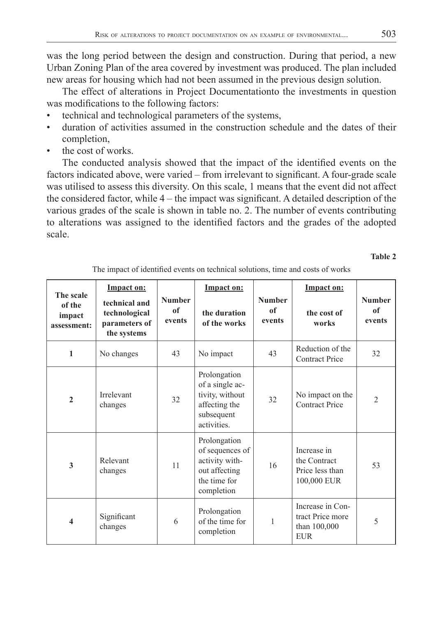was the long period between the design and construction. During that period, a new Urban Zoning Plan of the area covered by investment was produced. The plan included new areas for housing which had not been assumed in the previous design solution.

The effect of alterations in Project Documentationto the investments in question was modifications to the following factors:

- technical and technological parameters of the systems,
- duration of activities assumed in the construction schedule and the dates of their completion,
- the cost of works.

The conducted analysis showed that the impact of the identified events on the factors indicated above, were varied – from irrelevant to significant. A four-grade scale was utilised to assess this diversity. On this scale, 1 means that the event did not affect the considered factor, while  $4 -$  the impact was significant. A detailed description of the various grades of the scale is shown in table no. 2. The number of events contributing to alterations was assigned to the identified factors and the grades of the adopted scale.

**Table 2**

| The scale<br>of the<br>impact<br>assessment: | <b>Impact on:</b><br>technical and<br>technological<br>parameters of<br>the systems | <b>Number</b><br><sub>of</sub><br>events | Impact on:<br>the duration<br>of the works                                                       | <b>Number</b><br>of<br>events | Impact on:<br>the cost of<br>works                                 | <b>Number</b><br>of<br>events |
|----------------------------------------------|-------------------------------------------------------------------------------------|------------------------------------------|--------------------------------------------------------------------------------------------------|-------------------------------|--------------------------------------------------------------------|-------------------------------|
| 1                                            | No changes                                                                          | 43                                       | No impact                                                                                        | 43                            | Reduction of the<br><b>Contract Price</b>                          | 32                            |
| $\overline{2}$                               | Irrelevant<br>changes                                                               | 32                                       | Prolongation<br>of a single ac-<br>tivity, without<br>affecting the<br>subsequent<br>activities. | 32                            | No impact on the<br><b>Contract Price</b>                          | $\overline{2}$                |
| $\overline{\mathbf{3}}$                      | Relevant<br>changes                                                                 | 11                                       | Prolongation<br>of sequences of<br>activity with-<br>out affecting<br>the time for<br>completion | 16                            | Increase in<br>the Contract<br>Price less than<br>100,000 EUR      | 53                            |
| $\overline{\mathbf{4}}$                      | Significant<br>changes                                                              | 6                                        | Prolongation<br>of the time for<br>completion                                                    | 1                             | Increase in Con-<br>tract Price more<br>than 100,000<br><b>EUR</b> | 5                             |

The impact of identified events on technical solutions, time and costs of works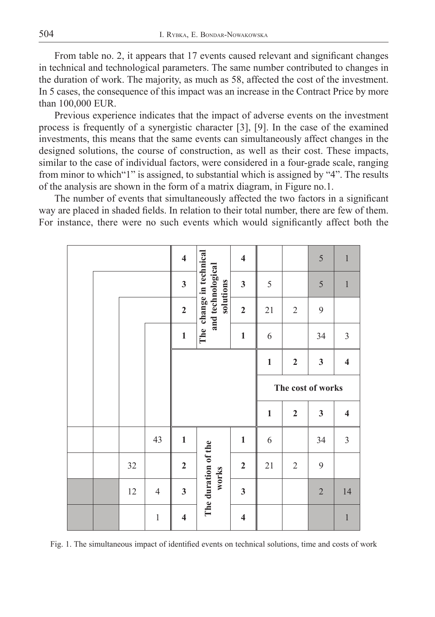From table no. 2, it appears that 17 events caused relevant and significant changes in technical and technological parameters. The same number contributed to changes in the duration of work. The majority, as much as 58, affected the cost of the investment. In 5 cases, the consequence of this impact was an increase in the Contract Price by more than 100,000 EUR.

Previous experience indicates that the impact of adverse events on the investment process is frequently of a synergistic character [3], [9]. In the case of the examined investments, this means that the same events can simultaneously affect changes in the designed solutions, the course of construction, as well as their cost. These impacts, similar to the case of individual factors, were considered in a four-grade scale, ranging from minor to which"1" is assigned, to substantial which is assigned by "4". The results of the analysis are shown in the form of a matrix diagram, in Figure no.1.

The number of events that simultaneously affected the two factors in a significant way are placed in shaded fields. In relation to their total number, there are few of them. For instance, there were no such events which would significantly affect both the

|  |        |                | $\overline{\mathbf{4}}$ |                                                           | $\overline{\mathbf{4}}$ |                   |                | 5            | $\,1\,$                 |
|--|--------|----------------|-------------------------|-----------------------------------------------------------|-------------------------|-------------------|----------------|--------------|-------------------------|
|  |        |                | $\mathbf{3}$            | The change in technical<br>and technological<br>solutions | $\mathbf{3}$            | 5                 |                | 5            | $\,1\,$                 |
|  |        | $\overline{2}$ |                         | $\overline{2}$                                            | 21                      | $\overline{2}$    | 9              |              |                         |
|  |        |                | $\mathbf{1}$            |                                                           | $\mathbf{1}$            | 6                 |                | 34           | $\mathfrak{Z}$          |
|  |        |                |                         |                                                           |                         | $\mathbf{1}$      | $\overline{2}$ | $\mathbf{3}$ | $\overline{\mathbf{4}}$ |
|  |        |                |                         |                                                           |                         | The cost of works |                |              |                         |
|  |        |                |                         |                                                           |                         |                   |                |              |                         |
|  |        |                |                         |                                                           |                         | $\mathbf{1}$      | $\mathbf{2}$   | $\mathbf{3}$ | $\overline{\mathbf{4}}$ |
|  |        | 43             | $\mathbf{1}$            |                                                           | $\mathbf{1}$            | 6                 |                | 34           | $\mathfrak{Z}$          |
|  | 32     |                | $\mathbf{2}$            |                                                           | $\mathbf 2$             | $21\,$            | $\sqrt{2}$     | 9            |                         |
|  | $12\,$ | $\overline{4}$ | $\mathbf{3}$            | The duration of the<br>works                              | $\mathbf{3}$            |                   |                | $\sqrt{2}$   | 14                      |

Fig. 1. The simultaneous impact of identified events on technical solutions, time and costs of work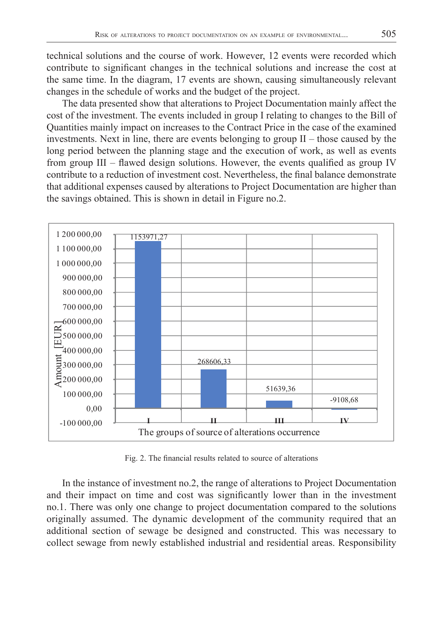technical solutions and the course of work. However, 12 events were recorded which contribute to significant changes in the technical solutions and increase the cost at the same time. In the diagram, 17 events are shown, causing simultaneously relevant changes in the schedule of works and the budget of the project.

The data presented show that alterations to Project Documentation mainly affect the cost of the investment. The events included in group I relating to changes to the Bill of Quantities mainly impact on increases to the Contract Price in the case of the examined investments. Next in line, there are events belonging to group II – those caused by the long period between the planning stage and the execution of work, as well as events from group  $III$  – flawed design solutions. However, the events qualified as group IV contribute to a reduction of investment cost. Nevertheless, the final balance demonstrate that additional expenses caused by alterations to Project Documentation are higher than the savings obtained. This is shown in detail in Figure no.2.



Fig. 2. The financial results related to source of alterations

In the instance of investment no.2, the range of alterations to Project Documentation and their impact on time and cost was significantly lower than in the investment no.1. There was only one change to project documentation compared to the solutions originally assumed. The dynamic development of the community required that an additional section of sewage be designed and constructed. This was necessary to collect sewage from newly established industrial and residential areas. Responsibility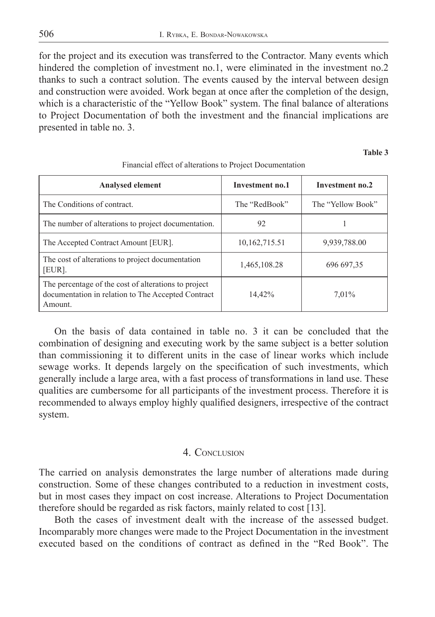for the project and its execution was transferred to the Contractor. Many events which hindered the completion of investment no.1, were eliminated in the investment no.2 thanks to such a contract solution. The events caused by the interval between design and construction were avoided. Work began at once after the completion of the design, which is a characteristic of the "Yellow Book" system. The final balance of alterations to Project Documentation of both the investment and the financial implications are presented in table no. 3.

**Table 3**

| <b>Analysed element</b>                                                                                               | Investment no.1 | Investment no.2   |
|-----------------------------------------------------------------------------------------------------------------------|-----------------|-------------------|
| The Conditions of contract.                                                                                           | The "RedBook"   | The "Yellow Book" |
| The number of alterations to project documentation.                                                                   | 92              |                   |
| The Accepted Contract Amount [EUR].                                                                                   | 10,162,715.51   | 9,939,788.00      |
| The cost of alterations to project documentation<br>[EUR].                                                            | 1,465,108.28    | 696 697,35        |
| The percentage of the cost of alterations to project<br>documentation in relation to The Accepted Contract<br>Amount. | 14,42%          | 7,01%             |

Financial effect of alterations to Project Documentation

On the basis of data contained in table no. 3 it can be concluded that the combination of designing and executing work by the same subject is a better solution than commissioning it to different units in the case of linear works which include sewage works. It depends largely on the specification of such investments, which generally include a large area, with a fast process of transformations in land use. These qualities are cumbersome for all participants of the investment process. Therefore it is recommended to always employ highly qualified designers, irrespective of the contract system.

#### 4. CONCLUSION

The carried on analysis demonstrates the large number of alterations made during construction. Some of these changes contributed to a reduction in investment costs, but in most cases they impact on cost increase. Alterations to Project Documentation therefore should be regarded as risk factors, mainly related to cost [13].

Both the cases of investment dealt with the increase of the assessed budget. Incomparably more changes were made to the Project Documentation in the investment executed based on the conditions of contract as defined in the "Red Book". The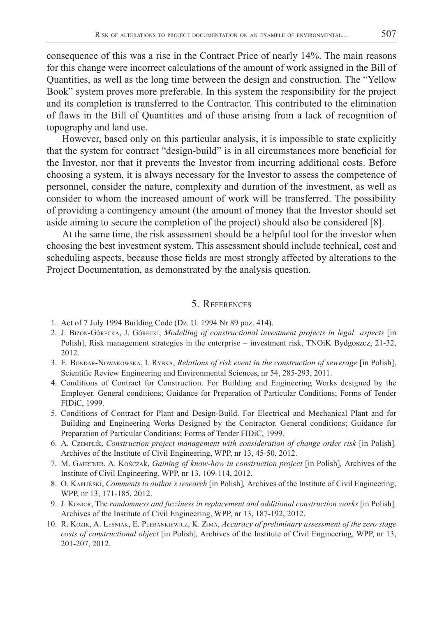consequence of this was a rise in the Contract Price of nearly 14%. The main reasons for this change were incorrect calculations of the amount of work assigned in the Bill of Quantities, as well as the long time between the design and construction. The "Yellow Book" system proves more preferable. In this system the responsibility for the project and its completion is transferred to the Contractor. This contributed to the elimination of flaws in the Bill of Quantities and of those arising from a lack of recognition of topography and land use.

However, based only on this particular analysis, it is impossible to state explicitly that the system for contract "design-build" is in all circumstances more beneficial for the Investor, nor that it prevents the Investor from incurring additional costs. Before choosing a system, it is always necessary for the Investor to assess the competence of personnel, consider the nature, complexity and duration of the investment, as well as consider to whom the increased amount of work will be transferred. The possibility of providing a contingency amount (the amount of money that the Investor should set aside aiming to secure the completion of the project) should also be considered [8].

At the same time, the risk assessment should be a helpful tool for the investor when choosing the best investment system. This assessment should include technical, cost and scheduling aspects, because those fields are most strongly affected by alterations to the Project Documentation, as demonstrated by the analysis question.

### 5. REFERENCES

- 1. Act of 7 July 1994 Building Code (Dz. U. 1994 Nr 89 poz. 414).
- 2. J. BIZON-GÓRECKA, J. GÓRECKI, *Modelling of constructional investment projects in legal aspects* [in Polish], Risk management strategies in the enterprise – investment risk, TNOiK Bydgoszcz, 21-32, 2012.
- 3. E. BONDAR-NOWAKOWSKA, I. RYBKA, *Relations of risk event in the construction of sewerage* [in Polish], Scientific Review Engineering and Environmental Sciences, nr 54, 285-293, 2011.
- 4. Conditions of Contract for Construction. For Building and Engineering Works designed by the Employer. General conditions; Guidance for Preparation of Particular Conditions; Forms of Tender FIDiC, 1999.
- 5. Conditions of Contract for Plant and Design-Build. For Electrical and Mechanical Plant and for Building and Engineering Works Designed by the Contractor. General conditions; Guidance for Preparation of Particular Conditions; Forms of Tender FIDiC, 1999.
- 6. A. CZEMPLIk, *Construction project management with consideration of change order risk* [in Polish]*,*  Archives of the Institute of Civil Engineering, WPP, nr 13, 45-50, 2012.
- 7. M. GAERTNER, A. KOŃCZAk, *Gaining of know-how in construction project* [in Polish]*,* Archives of the Institute of Civil Engineering, WPP, nr 13, 109-114, 2012.
- 8. O. KAPLIŃSKI, *Comments to author's research* [in Polish], Archives of the Institute of Civil Engineering, WPP, nr 13, 171-185, 2012.
- 9. J. KONIOR, The *randomness and fuzziness in replacement and additional construction works* [in Polish]*,*  Archives of the Institute of Civil Engineering, WPP, nr 13, 187-192, 2012.
- 10. R. KOZIK, A. LEŚNIAK, E. PLEBANKIEWICZ, K. ZIMA, *Accuracy of preliminary assessment of the zero stage costs of constructional object* [in Polish]*,* Archives of the Institute of Civil Engineering, WPP, nr 13, 201-207, 2012.